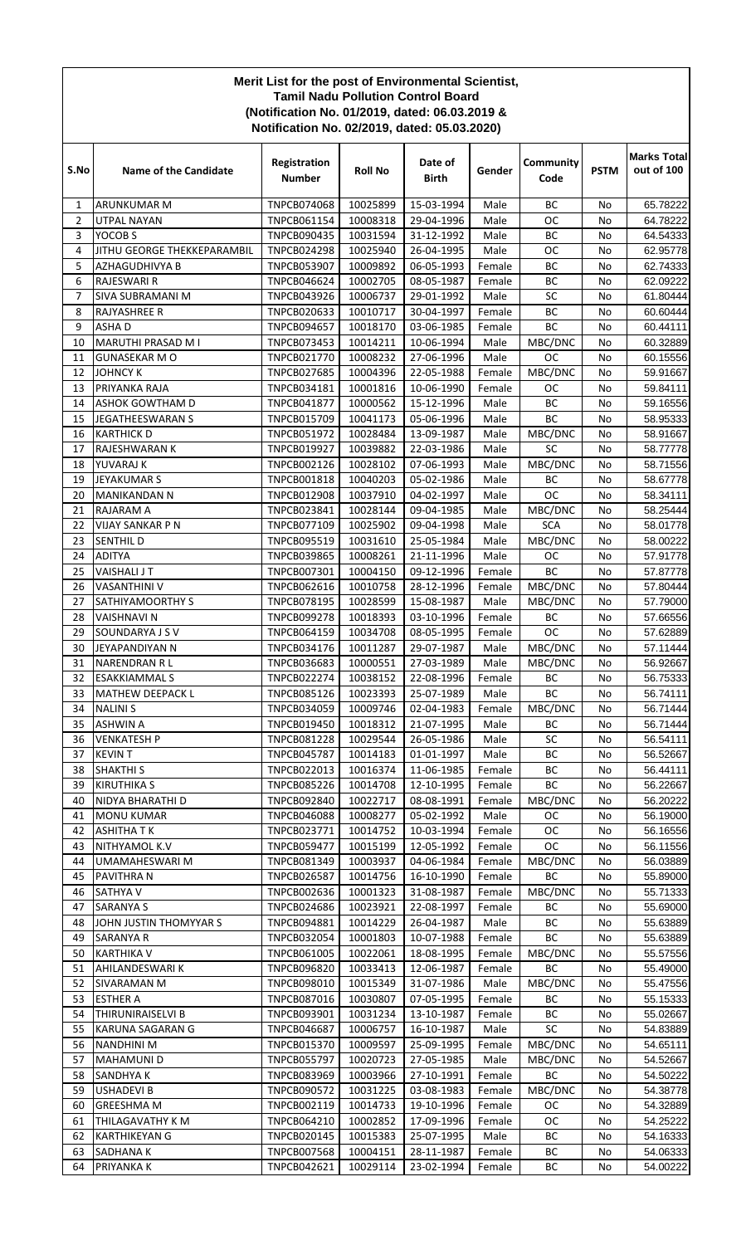## **Merit List for the post of Environmental Scientist, Tamil Nadu Pollution Control Board (Notification No. 01/2019, dated: 06.03.2019 & Notification No. 02/2019, dated: 05.03.2020)**

| S.No     | <b>Name of the Candidate</b>           | Registration<br><b>Number</b>            | <b>Roll No</b>       | Date of<br><b>Birth</b>  | Gender           | Community<br>Code      | <b>PSTM</b> | <b>Marks Total</b><br>out of 100 |
|----------|----------------------------------------|------------------------------------------|----------------------|--------------------------|------------------|------------------------|-------------|----------------------------------|
| 1        | <b>ARUNKUMAR M</b>                     | TNPCB074068                              | 10025899             | 15-03-1994               | Male             | <b>BC</b>              | No          | 65.78222                         |
| 2        | <b>UTPAL NAYAN</b>                     | TNPCB061154                              | 10008318             | 29-04-1996               | Male             | <b>OC</b>              | No          | 64.78222                         |
| 3        | YOCOB <sub>S</sub>                     | TNPCB090435                              | 10031594             | 31-12-1992               | Male             | BC                     | No          | 64.54333                         |
| 4        | JITHU GEORGE THEKKEPARAMBIL            | <b>TNPCB024298</b>                       | 10025940             | 26-04-1995               | Male             | <b>OC</b>              | No          | 62.95778                         |
| 5<br>6   | <b>AZHAGUDHIVYA B</b><br>RAJESWARI R   | <b>TNPCB053907</b><br>TNPCB046624        | 10009892             | 06-05-1993               | Female           | <b>BC</b><br><b>BC</b> | No<br>No    | 62.74333                         |
| 7        | SIVA SUBRAMANI M                       | TNPCB043926                              | 10002705<br>10006737 | 08-05-1987<br>29-01-1992 | Female<br>Male   | SC                     | No          | 62.09222<br>61.80444             |
| 8        | RAJYASHREE R                           | <b>TNPCB020633</b>                       | 10010717             | 30-04-1997               | Female           | BC                     | No          | 60.60444                         |
| 9        | <b>ASHAD</b>                           | <b>TNPCB094657</b>                       | 10018170             | 03-06-1985               | Female           | <b>BC</b>              | No          | 60.44111                         |
| 10       | MARUTHI PRASAD M I                     | <b>TNPCB073453</b>                       | 10014211             | 10-06-1994               | Male             | MBC/DNC                | No          | 60.32889                         |
| 11       | <b>GUNASEKAR M O</b>                   | TNPCB021770                              | 10008232             | 27-06-1996               | Male             | <b>OC</b>              | No          | 60.15556                         |
| 12       | <b>JOHNCY K</b>                        | <b>TNPCB027685</b>                       | 10004396             | 22-05-1988               | Female           | MBC/DNC                | No          | 59.91667                         |
| 13       | PRIYANKA RAJA                          | TNPCB034181                              | 10001816             | 10-06-1990               | Female           | OС                     | No          | 59.84111                         |
| 14       | ASHOK GOWTHAM D                        | <b>TNPCB041877</b>                       | 10000562             | 15-12-1996               | Male             | BC                     | No          | 59.16556                         |
| 15       | <b>JEGATHEESWARAN S</b>                | TNPCB015709                              | 10041173             | 05-06-1996               | Male             | <b>BC</b>              | No          | 58.95333                         |
| 16       | <b>KARTHICK D</b>                      | <b>TNPCB051972</b>                       | 10028484             | 13-09-1987               | Male             | MBC/DNC                | No          | 58.91667                         |
| 17       | RAJESHWARAN K                          | TNPCB019927                              | 10039882             | 22-03-1986               | Male             | SC                     | No          | 58.77778                         |
| 18       | YUVARAJ K                              | TNPCB002126                              | 10028102             | 07-06-1993               | Male             | MBC/DNC                | No          | 58.71556                         |
| 19       | <b>JEYAKUMAR S</b>                     | TNPCB001818                              | 10040203             | 05-02-1986               | Male             | BC                     | No          | 58.67778                         |
| 20       | <b>MANIKANDAN N</b>                    | <b>TNPCB012908</b>                       | 10037910             | 04-02-1997               | Male             | <b>OC</b>              | No          | 58.34111                         |
| 21       | RAJARAM A                              | TNPCB023841                              | 10028144             | 09-04-1985               | Male             | MBC/DNC                | No          | 58.25444                         |
| 22       | <b>VIJAY SANKAR P N</b>                | TNPCB077109                              | 10025902             | 09-04-1998               | Male             | <b>SCA</b>             | No          | 58.01778                         |
| 23<br>24 | <b>SENTHIL D</b><br><b>ADITYA</b>      | <b>TNPCB095519</b><br><b>TNPCB039865</b> | 10031610<br>10008261 | 25-05-1984<br>21-11-1996 | Male<br>Male     | MBC/DNC<br><b>OC</b>   | No<br>No    | 58.00222<br>57.91778             |
| 25       | <b>VAISHALI JT</b>                     | TNPCB007301                              | 10004150             | 09-12-1996               | Female           | <b>BC</b>              | No          | 57.87778                         |
| 26       | <b>VASANTHINI V</b>                    | <b>TNPCB062616</b>                       | 10010758             | 28-12-1996               | Female           | MBC/DNC                | No          | 57.80444                         |
| 27       | SATHIYAMOORTHY S                       | TNPCB078195                              | 10028599             | 15-08-1987               | Male             | MBC/DNC                | No          | 57.79000                         |
| 28       | <b>VAISHNAVI N</b>                     | <b>TNPCB099278</b>                       | 10018393             | 03-10-1996               | Female           | BC                     | No          | 57.66556                         |
| 29       | SOUNDARYA J S V                        | <b>TNPCB064159</b>                       | 10034708             | 08-05-1995               | Female           | <b>OC</b>              | No          | 57.62889                         |
| 30       | JEYAPANDIYAN N                         | TNPCB034176                              | 10011287             | 29-07-1987               | Male             | MBC/DNC                | No          | 57.11444                         |
| 31       | <b>NARENDRAN RL</b>                    | TNPCB036683                              | 10000551             | 27-03-1989               | Male             | MBC/DNC                | No          | 56.92667                         |
| 32       | <b>ESAKKIAMMAL S</b>                   | <b>TNPCB022274</b>                       | 10038152             | 22-08-1996               | Female           | <b>BC</b>              | No          | 56.75333                         |
| 33       | MATHEW DEEPACK L                       | TNPCB085126                              | 10023393             | 25-07-1989               | Male             | <b>BC</b>              | No          | 56.74111                         |
| 34       | <b>NALINIS</b>                         | <b>TNPCB034059</b>                       | 10009746             | 02-04-1983               | Female           | MBC/DNC                | No          | 56.71444                         |
| 35       | <b>ASHWIN A</b>                        | TNPCB019450                              | 10018312             | 21-07-1995               | Male             | BС                     | No          | 56.71444                         |
| 36       | <b>VENKATESH P</b>                     | TNPCB081228                              | 10029544             | 26-05-1986               | Male             | SC                     | No          | 56.54111                         |
| 37       | <b>KEVIN T</b>                         | <b>TNPCB045787</b>                       | 10014183             | 01-01-1997               | Male             | ВC                     | No          | 56.52667                         |
| 38       | <b>SHAKTHI S</b>                       | TNPCB022013                              | 10016374             | 11-06-1985               | Female           | ВC                     | No          | 56.44111                         |
| 39       | <b>KIRUTHIKA S</b><br>NIDYA BHARATHI D | <b>TNPCB085226</b>                       | 10014708             | 12-10-1995               | Female           | BC                     | No          | 56.22667                         |
| 40<br>41 | <b>MONU KUMAR</b>                      | <b>TNPCB092840</b><br><b>TNPCB046088</b> | 10022717<br>10008277 | 08-08-1991<br>05-02-1992 | Female<br>Male   | MBC/DNC<br>ОC          | No<br>No    | 56.20222<br>56.19000             |
| 42       | <b>ASHITHATK</b>                       | TNPCB023771                              | 10014752             | 10-03-1994               | Female           | ОC                     | No          | 56.16556                         |
| 43       | NITHYAMOL K.V                          | <b>TNPCB059477</b>                       | 10015199             | 12-05-1992               | Female           | ОC                     | No          | 56.11556                         |
| 44       | UMAMAHESWARI M                         | TNPCB081349                              | 10003937             | 04-06-1984               | Female           | MBC/DNC                | No          | 56.03889                         |
| 45       | PAVITHRA N                             | <b>TNPCB026587</b>                       | 10014756             | 16-10-1990               | Female           | BC                     | No          | 55.89000                         |
| 46       | <b>SATHYA V</b>                        | TNPCB002636                              | 10001323             | 31-08-1987               | Female           | MBC/DNC                | No          | 55.71333                         |
| 47       | <b>SARANYA S</b>                       | <b>TNPCB024686</b>                       | 10023921             | 22-08-1997               | Female           | BC                     | No          | 55.69000                         |
| 48       | JOHN JUSTIN THOMYYAR S                 | TNPCB094881                              | 10014229             | 26-04-1987               | Male             | ВC                     | No          | 55.63889                         |
| 49       | <b>SARANYA R</b>                       | TNPCB032054                              | 10001803             | 10-07-1988               | Female           | ВC                     | No          | 55.63889                         |
| 50       | <b>KARTHIKA V</b>                      | TNPCB061005                              | 10022061             | 18-08-1995               | Female           | MBC/DNC                | No          | 55.57556                         |
| 51       | AHILANDESWARI K                        | <b>TNPCB096820</b>                       | 10033413             | 12-06-1987               | Female           | BC                     | No          | 55.49000                         |
| 52       | SIVARAMAN M                            | TNPCB098010                              | 10015349             | 31-07-1986               | Male             | MBC/DNC                | No          | 55.47556                         |
| 53       | <b>ESTHER A</b>                        | TNPCB087016                              | 10030807             | 07-05-1995               | Female           | ВC                     | No          | 55.15333                         |
| 54       | THIRUNIRAISELVI B                      | TNPCB093901                              | 10031234             | 13-10-1987               | Female           | ВC                     | No          | 55.02667                         |
| 55       | <b>KARUNA SAGARAN G</b>                | <b>TNPCB046687</b>                       | 10006757             | 16-10-1987               | Male             | SC                     | No          | 54.83889                         |
| 56       | <b>NANDHINI M</b>                      | TNPCB015370                              | 10009597             | 25-09-1995               | Female           | MBC/DNC                | No          | 54.65111                         |
| 57<br>58 | <b>MAHAMUNID</b>                       | <b>TNPCB055797</b>                       | 10020723             | 27-05-1985               | Male             | MBC/DNC<br>BC          | No<br>No    | 54.52667<br>54.50222             |
| 59       | SANDHYA K<br><b>USHADEVI B</b>         | <b>TNPCB083969</b><br><b>TNPCB090572</b> | 10003966<br>10031225 | 27-10-1991<br>03-08-1983 | Female<br>Female | MBC/DNC                | No          | 54.38778                         |
| 60       | <b>GREESHMA M</b>                      | TNPCB002119                              | 10014733             | 19-10-1996               | Female           | OC                     | No          | 54.32889                         |
| 61       | THILAGAVATHY K M                       | TNPCB064210                              | 10002852             | 17-09-1996               | Female           | OC                     | No          | 54.25222                         |
| 62       | <b>KARTHIKEYAN G</b>                   | TNPCB020145                              | 10015383             | 25-07-1995               | Male             | BC                     | No          | 54.16333                         |
| 63       | <b>SADHANAK</b>                        | <b>TNPCB007568</b>                       | 10004151             | 28-11-1987               | Female           | BC                     | No          | 54.06333                         |
| 64       | PRIYANKA K                             | TNPCB042621                              | 10029114             | 23-02-1994               | Female           | BC                     | No          | 54.00222                         |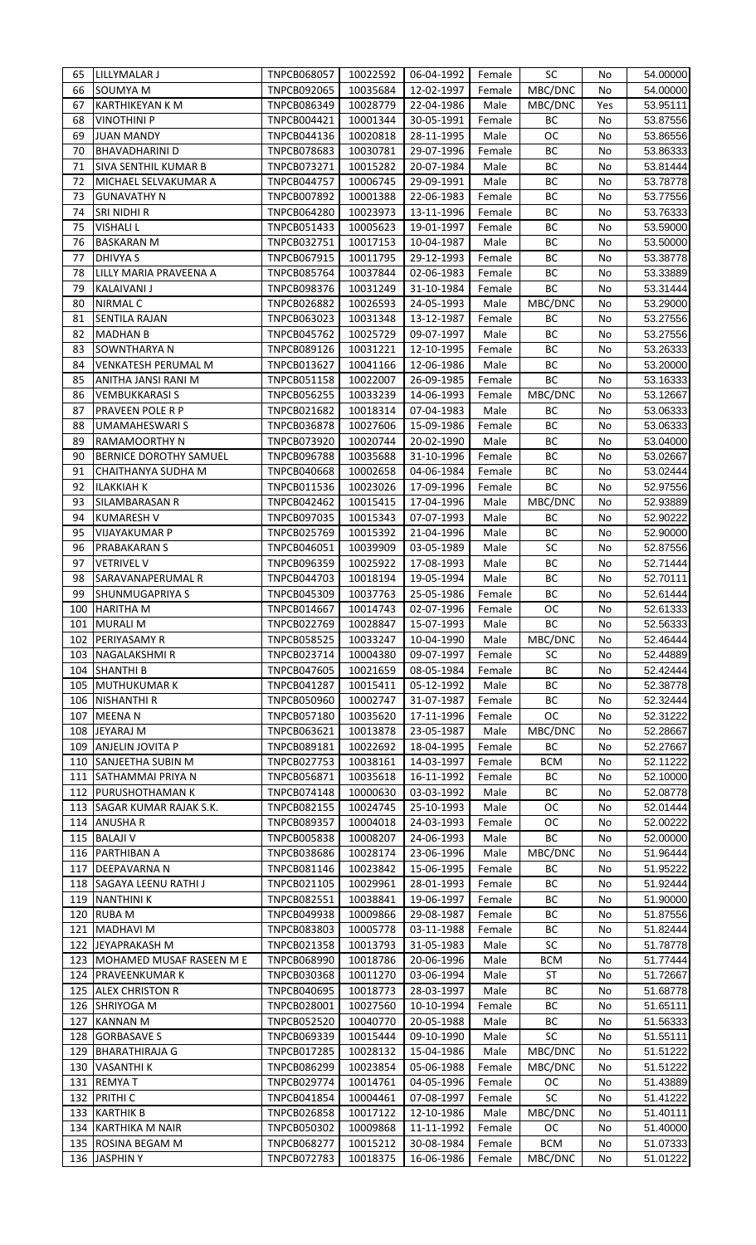| 65  | LILLYMALAR J                    | TNPCB068057                       | 10022592             | 06-04-1992               | Female           | <b>SC</b>             | No       | 54.00000             |
|-----|---------------------------------|-----------------------------------|----------------------|--------------------------|------------------|-----------------------|----------|----------------------|
| 66  | SOUMYA M                        | <b>TNPCB092065</b>                | 10035684             | 12-02-1997               | Female           | MBC/DNC               | No       | 54.00000             |
| 67  | <b>KARTHIKEYAN K M</b>          | TNPCB086349                       | 10028779             | 22-04-1986               | Male             | MBC/DNC               | Yes      | 53.95111             |
|     |                                 |                                   |                      |                          |                  |                       |          |                      |
| 68  | <b>VINOTHINI P</b>              | <b>TNPCB004421</b>                | 10001344             | 30-05-1991               | Female           | BC                    | No       | 53.87556             |
| 69  | <b>JUAN MANDY</b>               | TNPCB044136                       | 10020818             | 28-11-1995               | Male             | ОC                    | No       | 53.86556             |
| 70  | <b>BHAVADHARINI D</b>           | <b>TNPCB078683</b>                | 10030781             | 29-07-1996               | Female           | BC                    | No       | 53.86333             |
| 71  | SIVA SENTHIL KUMAR B            | TNPCB073271                       | 10015282             | 20-07-1984               | Male             | BC                    | No       | 53.81444             |
| 72  | MICHAEL SELVAKUMAR A            | <b>TNPCB044757</b>                | 10006745             | 29-09-1991               | Male             | BC                    | No       | 53.78778             |
| 73  | <b>GUNAVATHY N</b>              | <b>TNPCB007892</b>                | 10001388             | 22-06-1983               | Female           | BC                    | No       | 53.77556             |
| 74  | SRI NIDHI R                     | <b>TNPCB064280</b>                | 10023973             | 13-11-1996               | Female           | BC                    | No       | 53.76333             |
|     |                                 |                                   |                      |                          |                  | BC                    |          |                      |
| 75  | <b>VISHALI L</b>                | <b>TNPCB051433</b>                | 10005623             | 19-01-1997               | Female           |                       | No       | 53.59000             |
| 76  | <b>BASKARAN M</b>               | TNPCB032751                       | 10017153             | 10-04-1987               | Male             | BC                    | No       | 53.50000             |
| 77  | <b>DHIVYA S</b>                 | <b>TNPCB067915</b>                | 10011795             | 29-12-1993               | Female           | ВC                    | No       | 53.38778             |
| 78  | LILLY MARIA PRAVEENA A          | <b>TNPCB085764</b>                | 10037844             | 02-06-1983               | Female           | BC                    | No       | 53.33889             |
| 79  | <b>KALAIVANI J</b>              | <b>TNPCB098376</b>                | 10031249             | 31-10-1984               | Female           | ВC                    | No       | 53.31444             |
| 80  | <b>NIRMAL C</b>                 | <b>TNPCB026882</b>                | 10026593             | 24-05-1993               | Male             | MBC/DNC               | No       | 53.29000             |
| 81  | <b>SENTILA RAJAN</b>            | <b>TNPCB063023</b>                | 10031348             | 13-12-1987               | Female           | BC                    | No       | 53.27556             |
| 82  | <b>MADHAN B</b>                 | <b>TNPCB045762</b>                | 10025729             | 09-07-1997               | Male             | BC                    | No       |                      |
|     |                                 |                                   |                      |                          |                  |                       |          | 53.27556             |
| 83  | SOWNTHARYA N                    | <b>TNPCB089126</b>                | 10031221             | 12-10-1995               | Female           | ВC                    | No       | 53.26333             |
| 84  | VENKATESH PERUMAL M             | <b>TNPCB013627</b>                | 10041166             | 12-06-1986               | Male             | BC                    | No       | 53.20000             |
| 85  | ANITHA JANSI RANI M             | <b>TNPCB051158</b>                | 10022007             | 26-09-1985               | Female           | ВC                    | No       | 53.16333             |
| 86  | <b>VEMBUKKARASI S</b>           | <b>TNPCB056255</b>                | 10033239             | 14-06-1993               | Female           | MBC/DNC               | No       | 53.12667             |
| 87  | PRAVEEN POLE R P                | <b>TNPCB021682</b>                | 10018314             | 07-04-1983               | Male             | ВC                    | No       | 53.06333             |
| 88  | <b>UMAMAHESWARI S</b>           | <b>TNPCB036878</b>                | 10027606             | 15-09-1986               | Female           | ВC                    | No       | 53.06333             |
| 89  | <b>RAMAMOORTHY N</b>            | <b>TNPCB073920</b>                | 10020744             | 20-02-1990               | Male             | BC                    | No       | 53.04000             |
|     |                                 |                                   |                      |                          |                  |                       |          |                      |
| 90  | <b>BERNICE DOROTHY SAMUEL</b>   | <b>TNPCB096788</b>                | 10035688             | 31-10-1996               | Female           | BC                    | No       | 53.02667             |
| 91  | CHAITHANYA SUDHA M              | <b>TNPCB040668</b>                | 10002658             | 04-06-1984               | Female           | BC                    | No       | 53.02444             |
| 92  | <b>ILAKKIAH K</b>               | TNPCB011536                       | 10023026             | 17-09-1996               | Female           | BC                    | No       | 52.97556             |
| 93  | SILAMBARASAN R                  | <b>TNPCB042462</b>                | 10015415             | 17-04-1996               | Male             | MBC/DNC               | No       | 52.93889             |
| 94  | <b>KUMARESH V</b>               | <b>TNPCB097035</b>                | 10015343             | 07-07-1993               | Male             | BC                    | No       | 52.90222             |
| 95  | <b>VIJAYAKUMAR P</b>            | <b>TNPCB025769</b>                | 10015392             | 21-04-1996               | Male             | ВC                    | No       | 52.90000             |
| 96  | <b>PRABAKARAN S</b>             | <b>TNPCB046051</b>                | 10039909             | 03-05-1989               | Male             | SC                    | No       | 52.87556             |
|     |                                 |                                   |                      |                          |                  |                       |          |                      |
| 97  | <b>VETRIVEL V</b>               | <b>TNPCB096359</b>                | 10025922             | 17-08-1993               | Male             | BC                    | No       | 52.71444             |
| 98  | SARAVANAPERUMAL R               | <b>TNPCB044703</b>                | 10018194             | 19-05-1994               | Male             | BC                    | No       | 52.70111             |
| 99  | <b>SHUNMUGAPRIYA S</b>          | <b>TNPCB045309</b>                | 10037763             | 25-05-1986               | Female           | BC                    | No       | 52.61444             |
| 100 | <b>HARITHA M</b>                | TNPCB014667                       | 10014743             | 02-07-1996               | Female           | ОC                    | No       | 52.61333             |
|     | 101 MURALI M                    | <b>TNPCB022769</b>                | 10028847             | 15-07-1993               | Male             | BC                    | No       | 52.56333             |
| 102 | PERIYASAMY R                    | <b>TNPCB058525</b>                | 10033247             | 10-04-1990               | Male             | MBC/DNC               | No       | 52.46444             |
| 103 | NAGALAKSHMI R                   | TNPCB023714                       | 10004380             | 09-07-1997               | Female           | SC                    | No       | 52.44889             |
| 104 | <b>SHANTHI B</b>                |                                   | 10021659             |                          |                  | BC                    |          | 52.42444             |
|     |                                 | <b>TNPCB047605</b>                |                      | 08-05-1984               | Female           |                       | No       |                      |
| 105 | <b>MUTHUKUMARK</b>              | <b>TNPCB041287</b>                | 10015411             | 05-12-1992               | Male             | BC                    | No       | 52.38778             |
| 106 | <b>NISHANTHI R</b>              | <b>TNPCB050960</b>                | 10002747             | 31-07-1987               | Female           | BC                    | No       | 52.32444             |
| 107 | <b>MEENAN</b>                   | <b>TNPCB057180</b>                | 10035620             | 17-11-1996               | Female           | <b>OC</b>             |          |                      |
| 108 | JEYARAJ M                       |                                   |                      |                          |                  |                       | No       | 52.31222             |
| 109 |                                 | <b>TNPCB063621</b>                | 10013878             | 23-05-1987               | Male             | MBC/DNC               | No       | 52.28667             |
|     |                                 |                                   |                      |                          |                  |                       |          |                      |
|     | ANJELIN JOVITA P                | TNPCB089181                       | 10022692             | 18-04-1995               | Female           | BC                    | No       | 52.27667             |
| 110 | SANJEETHA SUBIN M               | <b>TNPCB027753</b>                | 10038161             | 14-03-1997               | Female           | <b>BCM</b>            | No       | 52.11222             |
| 111 | <b>SATHAMMAI PRIYA N</b>        | <b>TNPCB056871</b>                | 10035618             | 16-11-1992               | Female           | BC                    | No       | 52.10000             |
| 112 | <b>PURUSHOTHAMAN K</b>          | <b>TNPCB074148</b>                | 10000630             | 03-03-1992               | Male             | BC                    | No       | 52.08778             |
| 113 | SAGAR KUMAR RAJAK S.K.          | <b>TNPCB082155</b>                | 10024745             | 25-10-1993               | Male             | OC                    | No       | 52.01444             |
| 114 | <b>ANUSHA R</b>                 | <b>TNPCB089357</b>                | 10004018             | 24-03-1993               | Female           | <b>OC</b>             | No       | 52.00222             |
| 115 | <b>BALAJI V</b>                 | TNPCB005838                       | 10008207             | 24-06-1993               | Male             | BC                    | No       | 52.00000             |
| 116 | <b>PARTHIBAN A</b>              | <b>TNPCB038686</b>                | 10028174             | 23-06-1996               | Male             | MBC/DNC               | No       | 51.96444             |
| 117 | <b>DEEPAVARNA N</b>             | TNPCB081146                       | 10023842             | 15-06-1995               | Female           | BС                    | No       | 51.95222             |
|     |                                 |                                   |                      |                          |                  |                       |          |                      |
| 118 | SAGAYA LEENU RATHI J            | TNPCB021105                       | 10029961             | 28-01-1993               | Female           | BC                    | No       | 51.92444             |
| 119 | <b>NANTHINI K</b>               | TNPCB082551                       | 10038841             | 19-06-1997               | Female           | BC                    | No       | 51.90000             |
| 120 | <b>RUBA M</b>                   | <b>TNPCB049938</b>                | 10009866             | 29-08-1987               | Female           | BC                    | No       | 51.87556             |
| 121 | <b>MADHAVI M</b>                | <b>TNPCB083803</b>                | 10005778             | 03-11-1988               | Female           | BC                    | No       | 51.82444             |
| 122 | JEYAPRAKASH M                   | <b>TNPCB021358</b>                | 10013793             | 31-05-1983               | Male             | SC                    | No       | 51.78778             |
| 123 | MOHAMED MUSAF RASEEN M E        | <b>TNPCB068990</b>                | 10018786             | 20-06-1996               | Male             | <b>BCM</b>            | No       | 51.77444             |
| 124 | <b>PRAVEENKUMAR K</b>           | <b>TNPCB030368</b>                | 10011270             | 03-06-1994               | Male             | <b>ST</b>             | No       | 51.72667             |
| 125 | <b>ALEX CHRISTON R</b>          | <b>TNPCB040695</b>                |                      | 28-03-1997               | Male             | BC                    | No       | 51.68778             |
|     |                                 |                                   | 10018773             |                          |                  |                       |          |                      |
| 126 | <b>SHRIYOGA M</b>               | <b>TNPCB028001</b>                | 10027560             | 10-10-1994               | Female           | BC                    | No       | 51.65111             |
| 127 | <b>KANNAN M</b>                 | <b>TNPCB052520</b>                | 10040770             | 20-05-1988               | Male             | BC                    | No       | 51.56333             |
| 128 | <b>GORBASAVE S</b>              | <b>TNPCB069339</b>                | 10015444             | 09-10-1990               | Male             | <b>SC</b>             | No       | 51.55111             |
| 129 | <b>BHARATHIRAJA G</b>           | <b>TNPCB017285</b>                | 10028132             | 15-04-1986               | Male             | MBC/DNC               | No       | 51.51222             |
| 130 | <b>VASANTHI K</b>               | TNPCB086299                       | 10023854             | 05-06-1988               | Female           | MBC/DNC               | No       | 51.51222             |
| 131 | <b>REMYAT</b>                   | <b>TNPCB029774</b>                | 10014761             | 04-05-1996               | Female           | <b>OC</b>             | No       | 51.43889             |
|     | <b>PRITHIC</b>                  | TNPCB041854                       | 10004461             | 07-08-1997               | Female           | <b>SC</b>             | No       | 51.41222             |
| 132 |                                 |                                   |                      |                          |                  |                       |          |                      |
| 133 | <b>KARTHIK B</b>                | <b>TNPCB026858</b>                | 10017122             | 12-10-1986               | Male             | MBC/DNC               | No       | 51.40111             |
| 134 | KARTHIKA M NAIR                 | <b>TNPCB050302</b>                | 10009868             | 11-11-1992               | Female           | ОC                    | No       | 51.40000             |
| 135 | ROSINA BEGAM M<br>136 JASPHIN Y | <b>TNPCB068277</b><br>TNPCB072783 | 10015212<br>10018375 | 30-08-1984<br>16-06-1986 | Female<br>Female | <b>BCM</b><br>MBC/DNC | No<br>No | 51.07333<br>51.01222 |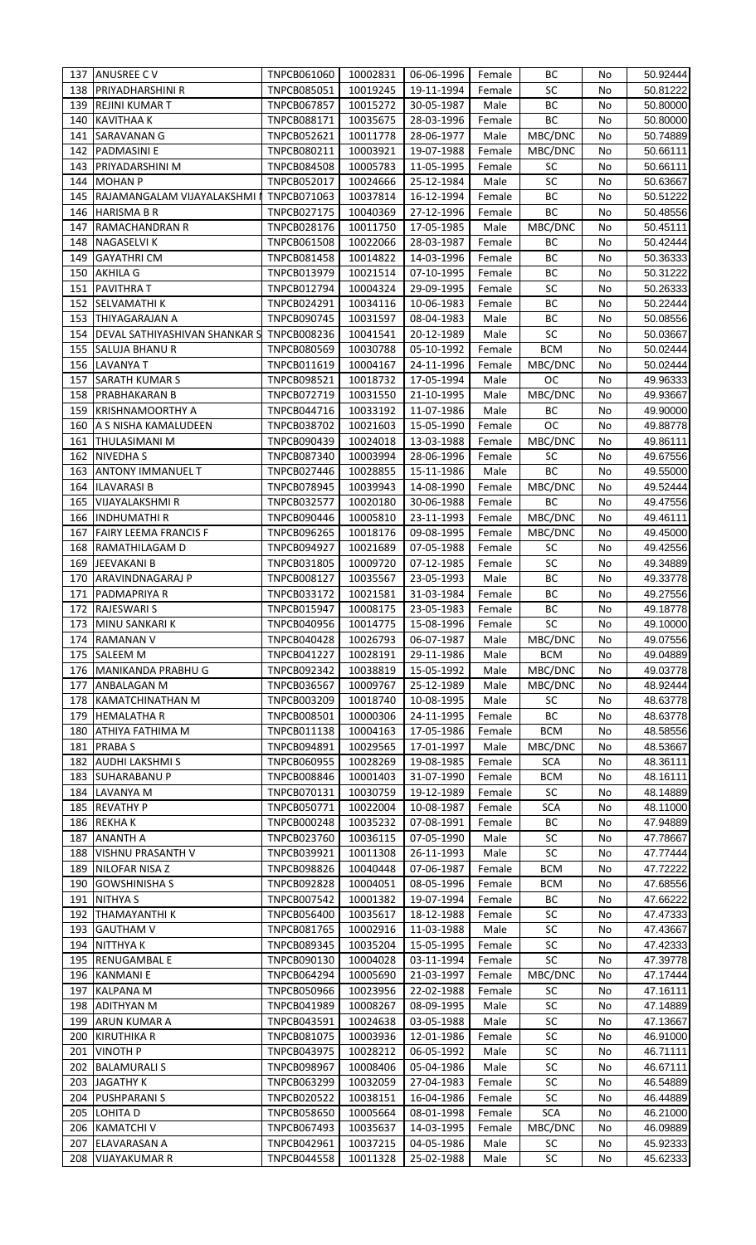|            | 137 ANUSREE C V                      | TNPCB061060                       | 10002831             | 06-06-1996               | Female       | BС              | No       | 50.92444             |
|------------|--------------------------------------|-----------------------------------|----------------------|--------------------------|--------------|-----------------|----------|----------------------|
| 138        | <b>PRIYADHARSHINI R</b>              | <b>TNPCB085051</b>                | 10019245             | 19-11-1994               | Female       | SC              | No       | 50.81222             |
| 139        |                                      |                                   |                      |                          |              | ВC              |          |                      |
|            | <b>REJINI KUMAR T</b>                | <b>TNPCB067857</b>                | 10015272             | 30-05-1987               | Male         |                 | No       | 50.80000             |
| 140        | <b>KAVITHAA K</b>                    | TNPCB088171                       | 10035675             | 28-03-1996               | Female       | ВC              | No       | 50.80000             |
| 141        | SARAVANAN G                          | TNPCB052621                       | 10011778             | 28-06-1977               | Male         | MBC/DNC         | No       | 50.74889             |
| 142        | PADMASINI E                          | TNPCB080211                       | 10003921             | 19-07-1988               | Female       | MBC/DNC         | No       | 50.66111             |
| 143        | PRIYADARSHINI M                      | <b>TNPCB084508</b>                | 10005783             | 11-05-1995               | Female       | SC              | No       | 50.66111             |
| 144        | <b>MOHAN P</b>                       | <b>TNPCB052017</b>                | 10024666             | 25-12-1984               | Male         | SC              | No       | 50.63667             |
|            |                                      |                                   |                      |                          |              |                 |          |                      |
| 145        | RAJAMANGALAM VIJAYALAKSHMI           | TNPCB071063                       | 10037814             | 16-12-1994               | Female       | ВC              | No       | 50.51222             |
| 146        | <b>HARISMA B R</b>                   | TNPCB027175                       | 10040369             | 27-12-1996               | Female       | BC              | No       | 50.48556             |
| 147        | RAMACHANDRAN R                       | TNPCB028176                       | 10011750             | 17-05-1985               | Male         | MBC/DNC         | No       | 50.45111             |
| 148        | <b>NAGASELVI K</b>                   | <b>TNPCB061508</b>                | 10022066             | 28-03-1987               | Female       | BС              | No       | 50.42444             |
|            |                                      |                                   |                      |                          |              |                 |          |                      |
| 149        | <b>GAYATHRI CM</b>                   | TNPCB081458                       | 10014822             | 14-03-1996               | Female       | ВC              | No       | 50.36333             |
| 150        | <b>AKHILA G</b>                      | <b>TNPCB013979</b>                | 10021514             | 07-10-1995               | Female       | ВC              | No       | 50.31222             |
| 151        | <b>PAVITHRA T</b>                    | <b>TNPCB012794</b>                | 10004324             | 29-09-1995               | Female       | SC              | No       | 50.26333             |
| 152        | SELVAMATHI K                         | <b>TNPCB024291</b>                | 10034116             | 10-06-1983               | Female       | BC              | No       | 50.22444             |
|            |                                      |                                   |                      |                          |              |                 |          |                      |
| 153        | <b>THIYAGARAJAN A</b>                | <b>TNPCB090745</b>                | 10031597             | 08-04-1983               | Male         | BC              | No       | 50.08556             |
| 154        | DEVAL SATHIYASHIVAN SHANKAR S        | TNPCB008236                       | 10041541             | 20-12-1989               | Male         | SC              | No       | 50.03667             |
| 155        | SALUJA BHANU R                       | <b>TNPCB080569</b>                | 10030788             | 05-10-1992               | Female       | <b>BCM</b>      | No       | 50.02444             |
| 156        | <b>LAVANYA T</b>                     | TNPCB011619                       | 10004167             | 24-11-1996               | Female       | MBC/DNC         | No       | 50.02444             |
|            |                                      |                                   |                      |                          |              |                 |          |                      |
| 157        | <b>SARATH KUMARS</b>                 | TNPCB098521                       | 10018732             | 17-05-1994               | Male         | OC              | No       | 49.96333             |
| 158        | PRABHAKARAN B                        | TNPCB072719                       | 10031550             | 21-10-1995               | Male         | MBC/DNC         | No       | 49.93667             |
| 159        | <b>KRISHNAMOORTHY A</b>              | TNPCB044716                       | 10033192             | 11-07-1986               | Male         | BC              | No       | 49.90000             |
| 160        | A S NISHA KAMALUDEEN                 | <b>TNPCB038702</b>                | 10021603             | 15-05-1990               | Female       | OC              | No       | 49.88778             |
| 161        | <b>THULASIMANI M</b>                 | <b>TNPCB090439</b>                | 10024018             | 13-03-1988               | Female       | MBC/DNC         | No       | 49.86111             |
|            |                                      |                                   |                      |                          |              |                 |          |                      |
| 162        | <b>NIVEDHA S</b>                     | <b>TNPCB087340</b>                | 10003994             | 28-06-1996               | Female       | SC              | No       | 49.67556             |
| 163        | <b>ANTONY IMMANUEL T</b>             | <b>TNPCB027446</b>                | 10028855             | 15-11-1986               | Male         | BC              | No       | 49.55000             |
| 164        | <b>ILAVARASI B</b>                   | <b>TNPCB078945</b>                | 10039943             | 14-08-1990               | Female       | MBC/DNC         | No       | 49.52444             |
| 165        | <b>VIJAYALAKSHMI R</b>               | <b>TNPCB032577</b>                | 10020180             | 30-06-1988               | Female       | BC              | No       | 49.47556             |
|            |                                      |                                   |                      |                          |              |                 |          |                      |
| 166        | <b>INDHUMATHIR</b>                   | <b>TNPCB090446</b>                | 10005810             | 23-11-1993               | Female       | MBC/DNC         | No       | 49.46111             |
| 167        | <b>FAIRY LEEMA FRANCIS F</b>         | <b>TNPCB096265</b>                | 10018176             | 09-08-1995               | Female       | MBC/DNC         | No       | 49.45000             |
| 168        | RAMATHILAGAM D                       | <b>TNPCB094927</b>                | 10021689             | 07-05-1988               | Female       | SC              | No       | 49.42556             |
| 169        | <b>JEEVAKANI B</b>                   | TNPCB031805                       | 10009720             | 07-12-1985               | Female       | SC              | No       | 49.34889             |
| 170        |                                      |                                   |                      |                          |              |                 |          |                      |
|            | ARAVINDNAGARAJ P                     | <b>TNPCB008127</b>                | 10035567             | 23-05-1993               | Male         | ВC              | No       | 49.33778             |
| 171        | PADMAPRIYA R                         | <b>TNPCB033172</b>                | 10021581             | 31-03-1984               | Female       | ВC              | No       | 49.27556             |
| 172        | <b>RAJESWARI S</b>                   | <b>TNPCB015947</b>                | 10008175             | 23-05-1983               | Female       | BC              | No       | 49.18778             |
|            | 173 MINU SANKARI K                   | TNPCB040956                       | 10014775             | 15-08-1996               | Female       | <b>SC</b>       | No       | 49.10000             |
| 174        | <b>RAMANAN V</b>                     | <b>TNPCB040428</b>                | 10026793             | 06-07-1987               | Male         | MBC/DNC         | No       | 49.07556             |
|            |                                      |                                   |                      |                          |              |                 |          |                      |
|            | <b>SALEEM M</b>                      | <b>TNPCB041227</b>                | 10028191             | 29-11-1986               | Male         | <b>BCM</b>      | No       | 49.04889             |
| 175        |                                      |                                   |                      |                          |              |                 |          |                      |
| 176        | MANIKANDA PRABHU G                   | <b>TNPCB092342</b>                | 10038819             | 15-05-1992               | Male         | MBC/DNC         | No       | 49.03778             |
|            |                                      |                                   |                      |                          |              |                 |          |                      |
| 177        | ANBALAGAN M                          | <b>TNPCB036567</b>                | 10009767             | 25-12-1989               | Male         | MBC/DNC         | No       | 48.92444             |
| 178        | KAMATCHINATHAN M                     | <b>TNPCB003209</b>                | 10018740             | 10-08-1995               | Male         | SC              | No       | 48.63778             |
| 179        | <b>HEMALATHA R</b>                   | <b>TNPCB008501</b>                | 10000306             | 24-11-1995               | Female       | BC              | No       | 48.63778             |
| 180        | ATHIYA FATHIMA M                     | TNPCB011138                       | 10004163             | 17-05-1986               | Female       | <b>BCM</b>      | No       | 48.58556             |
| 181        | <b>PRABAS</b>                        | TNPCB094891                       | 10029565             |                          |              |                 | No       | 48.53667             |
|            |                                      |                                   |                      | 17-01-1997               | Male         | MBC/DNC         |          |                      |
| 182        | <b>AUDHI LAKSHMI S</b>               | <b>TNPCB060955</b>                | 10028269             | 19-08-1985               | Female       | <b>SCA</b>      | No       | 48.36111             |
| 183        | <b>SUHARABANU P</b>                  | <b>TNPCB008846</b>                | 10001403             | 31-07-1990               | Female       | <b>BCM</b>      | No       | 48.16111             |
| 184        | LAVANYA M                            | TNPCB070131                       | 10030759             | 19-12-1989               | Female       | SC              | No       | 48.14889             |
| 185        | <b>REVATHY P</b>                     | TNPCB050771                       | 10022004             | 10-08-1987               | Female       | <b>SCA</b>      | No       | 48.11000             |
| 186        |                                      | <b>TNPCB000248</b>                | 10035232             | 07-08-1991               | Female       | BC              | No       |                      |
|            | <b>REKHAK</b>                        |                                   |                      |                          |              |                 |          | 47.94889             |
| 187        | <b>ANANTH A</b>                      | TNPCB023760                       | 10036115             | 07-05-1990               | Male         | <b>SC</b>       | No       | 47.78667             |
| 188        | <b>VISHNU PRASANTH V</b>             | <b>TNPCB039921</b>                | 10011308             | 26-11-1993               | Male         | SC              | No       | 47.77444             |
| 189        | NILOFAR NISA Z                       | <b>TNPCB098826</b>                | 10040448             | 07-06-1987               | Female       | <b>BCM</b>      | No       | 47.72222             |
| 190        | <b>GOWSHINISHA S</b>                 | <b>TNPCB092828</b>                | 10004051             | 08-05-1996               | Female       | <b>BCM</b>      | No       | 47.68556             |
|            |                                      |                                   |                      |                          |              |                 |          |                      |
| 191        | <b>NITHYA S</b>                      | TNPCB007542                       | 10001382             | 19-07-1994               | Female       | BC              | No       | 47.66222             |
| 192        | <b>THAMAYANTHI K</b>                 | <b>TNPCB056400</b>                | 10035617             | 18-12-1988               | Female       | SC              | No       | 47.47333             |
| 193        | <b>GAUTHAM V</b>                     | TNPCB081765                       | 10002916             | 11-03-1988               | Male         | SC              | No       | 47.43667             |
| 194        | <b>NITTHYAK</b>                      | TNPCB089345                       | 10035204             | 15-05-1995               | Female       | SC              | No       | 47.42333             |
| 195        | RENUGAMBAL E                         | TNPCB090130                       | 10004028             | 03-11-1994               | Female       | SC              | No       | 47.39778             |
|            |                                      |                                   |                      |                          |              |                 |          |                      |
| 196        | <b>KANMANIE</b>                      | TNPCB064294                       | 10005690             | 21-03-1997               | Female       | MBC/DNC         | No       | 47.17444             |
| 197        | KALPANA M                            | <b>TNPCB050966</b>                | 10023956             | 22-02-1988               | Female       | <b>SC</b>       | No       | 47.16111             |
| 198        | <b>ADITHYAN M</b>                    | <b>TNPCB041989</b>                | 10008267             | 08-09-1995               | Male         | SC              | No       | 47.14889             |
| 199        | ARUN KUMAR A                         | TNPCB043591                       | 10024638             | 03-05-1988               | Male         | SC              | No       | 47.13667             |
| 200        | <b>KIRUTHIKA R</b>                   | TNPCB081075                       |                      |                          |              |                 | No       |                      |
|            |                                      |                                   | 10003936             | 12-01-1986               | Female       | SC              |          | 46.91000             |
| 201        | <b>VINOTH P</b>                      | <b>TNPCB043975</b>                | 10028212             | 06-05-1992               | Male         | SC              | No       | 46.71111             |
| 202        | <b>BALAMURALI S</b>                  | <b>TNPCB098967</b>                | 10008406             | 05-04-1986               | Male         | SC              | No       | 46.67111             |
| 203        | <b>JAGATHY K</b>                     | <b>TNPCB063299</b>                | 10032059             | 27-04-1983               | Female       | SC              | No       | 46.54889             |
| 204        | <b>PUSHPARANI S</b>                  | TNPCB020522                       | 10038151             | 16-04-1986               | Female       | SC              | No       | 46.44889             |
|            |                                      |                                   |                      |                          |              |                 |          |                      |
| 205        | LOHITA D                             | <b>TNPCB058650</b>                | 10005664             | 08-01-1998               | Female       | <b>SCA</b>      | No       | 46.21000             |
| 206        | <b>KAMATCHI V</b>                    | <b>TNPCB067493</b>                | 10035637             | 14-03-1995               | Female       | MBC/DNC         | No       | 46.09889             |
| 207<br>208 | ELAVARASAN A<br><b>VIJAYAKUMAR R</b> | TNPCB042961<br><b>TNPCB044558</b> | 10037215<br>10011328 | 04-05-1986<br>25-02-1988 | Male<br>Male | <b>SC</b><br>SC | No<br>No | 45.92333<br>45.62333 |